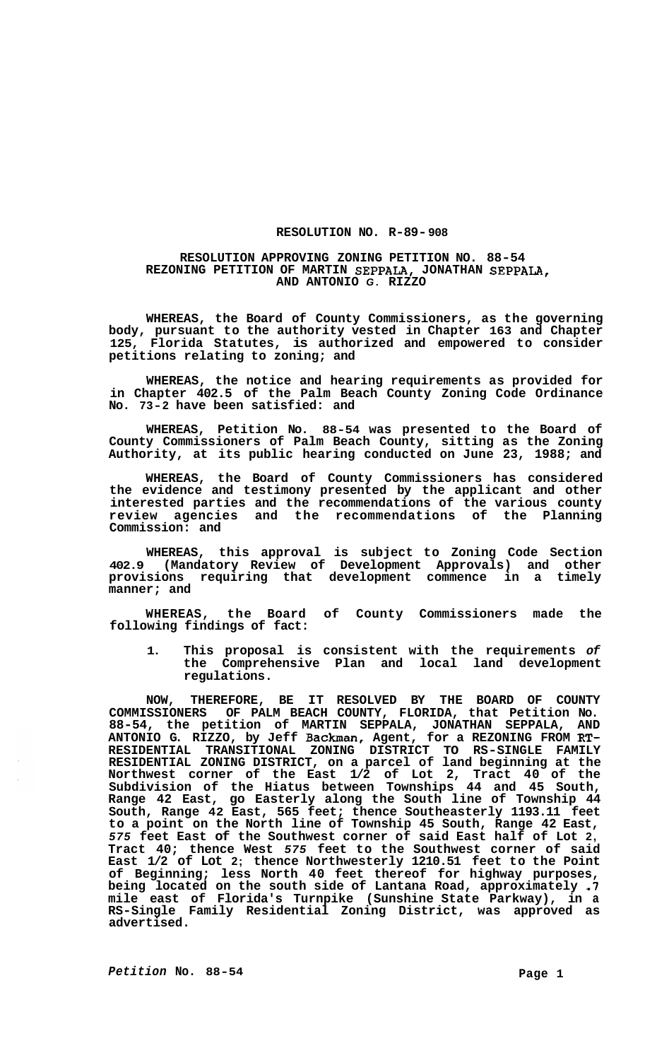## **RESOLUTION NO. R-89- 908**

## **RESOLUTION APPROVING ZONING PETITION NO. 88-54 AND ANTONIO** *G.* **RIZZO REZONING PETITION OF MARTIN SEPPALA, JONATHAN SEPPALA,**

**WHEREAS, the Board of County Commissioners, as the governing body, pursuant to the authority vested in Chapter 163 and Chapter 125, Florida Statutes, is authorized and empowered to consider petitions relating to zoning; and** 

**WHEREAS, the notice and hearing requirements as provided for in Chapter 402.5 of the Palm Beach County Zoning Code Ordinance No. 73-2 have been satisfied: and** 

**WHEREAS, Petition No. 88-54 was presented to the Board of County Commissioners of Palm Beach County, sitting as the Zoning Authority, at its public hearing conducted on June 23, 1988; and** 

**WHEREAS, the Board of County Commissioners has considered the evidence and testimony presented by the applicant and other interested parties and the recommendations of the various county review agencies and the recommendations of the Planning Commission: and** 

**WHEREAS, this approval is subject to Zoning Code Section 402.9 (Mandatory Review of Development Approvals) and other provisions requiring that development commence in a timely manner; and** 

**WHEREAS, the Board of County Commissioners made the following findings of fact:** 

**1. This proposal is consistent with the requirements** *of*  **the Comprehensive Plan and local land development regulations.** 

**NOW, THEREFORE, BE IT RESOLVED BY THE BOARD OF COUNTY COMMISSIONERS OF PALM BEACH COUNTY, FLORIDA, that Petition No. 88-54, the petition of MARTIN SEPPALA, JONATHAN SEPPALA, AND ANTONIO G. RIZZO, by Jeff Backman, Agent, for a REZONING FROM RT-RESIDENTIAL TRANSITIONAL ZONING DISTRICT TO RS-SINGLE FAMILY RESIDENTIAL ZONING DISTRICT, on a parcel of land beginning at the Northwest corner of the East 1/2 of Lot 2, Tract 40 of the Subdivision of the Hiatus between Townships 44 and 45 South, Range 42 East, go Easterly along the South line of Township 44 South, Range 42 East, 565 feet; thence Southeasterly 1193.11 feet to a point on the North line of Township 45 South, Range 42 East,**  *575* **feet East of the Southwest corner of said East half of Lot 2, Tract 40; thence West** *575* **feet to the Southwest corner of said East 1/2 of Lot 2; thence Northwesterly 1210.51 feet to the Point of Beginning; less North 40 feet thereof for highway purposes, being located on the south side of Lantana Road, approximately** *.7*  **mile east of Florida's Turnpike (Sunshine State Parkway), in a RS-Single Family Residential Zoning District, was approved as advertised.**